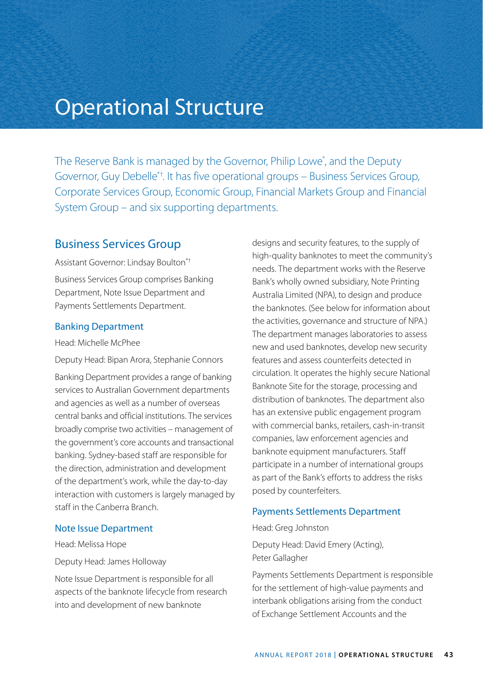# Operational Structure

The Reserve Bank is managed by the Governor, Philip Lowe<sup>\*</sup>, and the Deputy Governor, Guy Debelle\*†. It has five operational groups – Business Services Group, Corporate Services Group, Economic Group, Financial Markets Group and Financial System Group – and six supporting departments.

## Business Services Group

Assistant Governor: Lindsay Boulton\*†

Business Services Group comprises Banking Department, Note Issue Department and Payments Settlements Department.

### Banking Department

Head: Michelle McPhee

Deputy Head: Bipan Arora, Stephanie Connors

Banking Department provides a range of banking services to Australian Government departments and agencies as well as a number of overseas central banks and official institutions. The services broadly comprise two activities – management of the government's core accounts and transactional banking. Sydney-based staff are responsible for the direction, administration and development of the department's work, while the day-to-day interaction with customers is largely managed by staff in the Canberra Branch.

### Note Issue Department

Head: Melissa Hope

Deputy Head: James Holloway

Note Issue Department is responsible for all aspects of the banknote lifecycle from research into and development of new banknote

designs and security features, to the supply of high-quality banknotes to meet the community's needs. The department works with the Reserve Bank's wholly owned subsidiary, Note Printing Australia Limited (NPA), to design and produce the banknotes. (See below for information about the activities, governance and structure of NPA.) The department manages laboratories to assess new and used banknotes, develop new security features and assess counterfeits detected in circulation. It operates the highly secure National Banknote Site for the storage, processing and distribution of banknotes. The department also has an extensive public engagement program with commercial banks, retailers, cash-in-transit companies, law enforcement agencies and banknote equipment manufacturers. Staff participate in a number of international groups as part of the Bank's efforts to address the risks posed by counterfeiters.

### Payments Settlements Department

Head: Greg Johnston

Deputy Head: David Emery (Acting), Peter Gallagher

Payments Settlements Department is responsible for the settlement of high-value payments and interbank obligations arising from the conduct of Exchange Settlement Accounts and the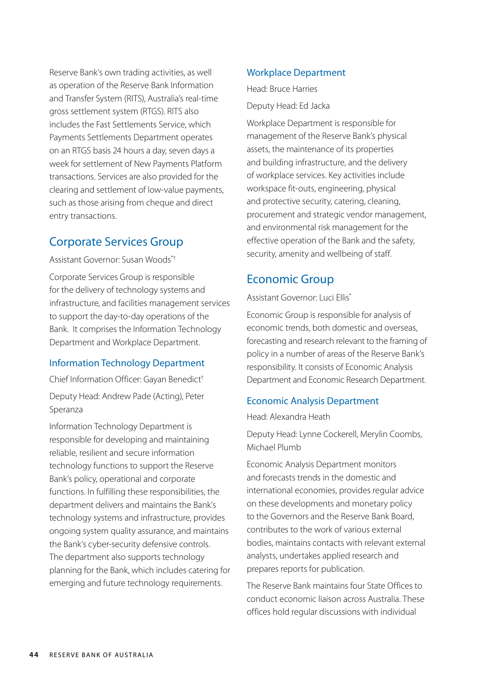Reserve Bank's own trading activities, as well as operation of the Reserve Bank Information and Transfer System (RITS), Australia's real-time gross settlement system (RTGS). RITS also includes the Fast Settlements Service, which Payments Settlements Department operates on an RTGS basis 24 hours a day, seven days a week for settlement of New Payments Platform transactions. Services are also provided for the clearing and settlement of low-value payments, such as those arising from cheque and direct entry transactions.

### Corporate Services Group

Assistant Governor: Susan Woods\*†

Corporate Services Group is responsible for the delivery of technology systems and infrastructure, and facilities management services to support the day-to-day operations of the Bank. It comprises the Information Technology Department and Workplace Department.

### Information Technology Department

Chief Information Officer: Gayan Benedict†

Deputy Head: Andrew Pade (Acting), Peter Speranza

Information Technology Department is responsible for developing and maintaining reliable, resilient and secure information technology functions to support the Reserve Bank's policy, operational and corporate functions. In fulfilling these responsibilities, the department delivers and maintains the Bank's technology systems and infrastructure, provides ongoing system quality assurance, and maintains the Bank's cyber-security defensive controls. The department also supports technology planning for the Bank, which includes catering for emerging and future technology requirements.

#### Workplace Department

Head: Bruce Harries Deputy Head: Ed Jacka

Workplace Department is responsible for management of the Reserve Bank's physical assets, the maintenance of its properties and building infrastructure, and the delivery of workplace services. Key activities include workspace fit-outs, engineering, physical and protective security, catering, cleaning, procurement and strategic vendor management, and environmental risk management for the effective operation of the Bank and the safety, security, amenity and wellbeing of staff.

## Economic Group

Assistant Governor: Luci Ellis\*

Economic Group is responsible for analysis of economic trends, both domestic and overseas, forecasting and research relevant to the framing of policy in a number of areas of the Reserve Bank's responsibility. It consists of Economic Analysis Department and Economic Research Department.

### Economic Analysis Department

Head: Alexandra Heath

Deputy Head: Lynne Cockerell, Merylin Coombs, Michael Plumb

Economic Analysis Department monitors and forecasts trends in the domestic and international economies, provides regular advice on these developments and monetary policy to the Governors and the Reserve Bank Board, contributes to the work of various external bodies, maintains contacts with relevant external analysts, undertakes applied research and prepares reports for publication.

The Reserve Bank maintains four State Offices to conduct economic liaison across Australia. These offices hold regular discussions with individual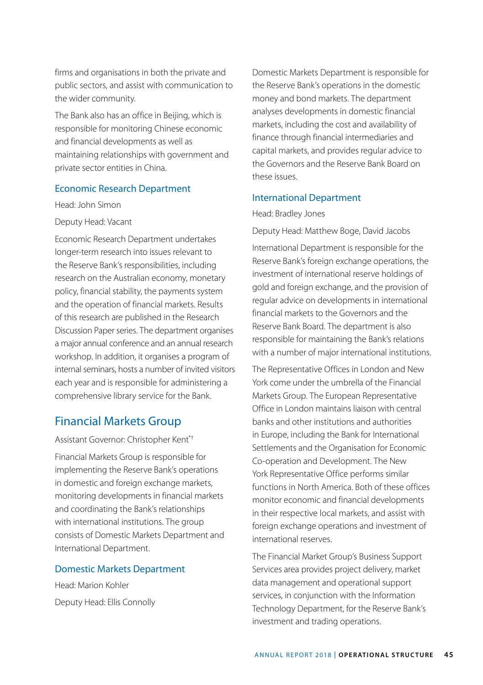firms and organisations in both the private and public sectors, and assist with communication to the wider community.

The Bank also has an office in Beijing, which is responsible for monitoring Chinese economic and financial developments as well as maintaining relationships with government and private sector entities in China.

### Economic Research Department

Head: John Simon

#### Deputy Head: Vacant

Economic Research Department undertakes longer-term research into issues relevant to the Reserve Bank's responsibilities, including research on the Australian economy, monetary policy, financial stability, the payments system and the operation of financial markets. Results of this research are published in the Research Discussion Paper series. The department organises a major annual conference and an annual research workshop. In addition, it organises a program of internal seminars, hosts a number of invited visitors each year and is responsible for administering a comprehensive library service for the Bank.

### Financial Markets Group

Assistant Governor: Christopher Kent\*† Financial Markets Group is responsible for implementing the Reserve Bank's operations in domestic and foreign exchange markets, monitoring developments in financial markets and coordinating the Bank's relationships with international institutions. The group consists of Domestic Markets Department and International Department.

#### Domestic Markets Department

Head: Marion Kohler Deputy Head: Ellis Connolly Domestic Markets Department is responsible for the Reserve Bank's operations in the domestic money and bond markets. The department analyses developments in domestic financial markets, including the cost and availability of finance through financial intermediaries and capital markets, and provides regular advice to the Governors and the Reserve Bank Board on these issues.

### International Department

Head: Bradley Jones

Deputy Head: Matthew Boge, David Jacobs

International Department is responsible for the Reserve Bank's foreign exchange operations, the investment of international reserve holdings of gold and foreign exchange, and the provision of regular advice on developments in international financial markets to the Governors and the Reserve Bank Board. The department is also responsible for maintaining the Bank's relations with a number of major international institutions.

The Representative Offices in London and New York come under the umbrella of the Financial Markets Group. The European Representative Office in London maintains liaison with central banks and other institutions and authorities in Europe, including the Bank for International Settlements and the Organisation for Economic Co-operation and Development. The New York Representative Office performs similar functions in North America. Both of these offices monitor economic and financial developments in their respective local markets, and assist with foreign exchange operations and investment of international reserves.

The Financial Market Group's Business Support Services area provides project delivery, market data management and operational support services, in conjunction with the Information Technology Department, for the Reserve Bank's investment and trading operations.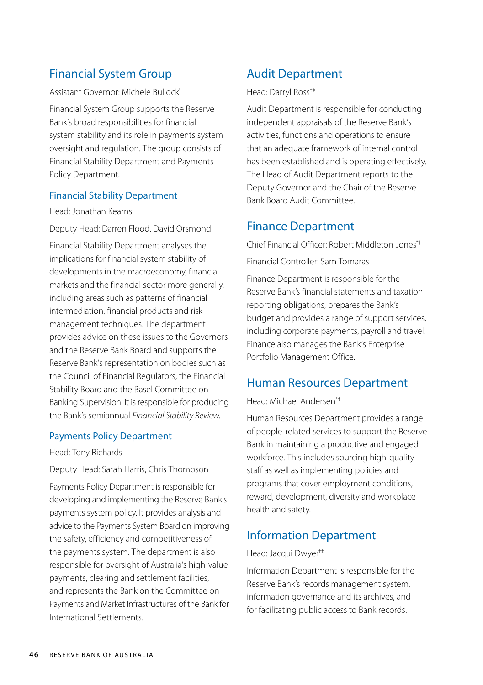# Financial System Group

Assistant Governor: Michele Bullock\*

Financial System Group supports the Reserve Bank's broad responsibilities for financial system stability and its role in payments system oversight and regulation. The group consists of Financial Stability Department and Payments Policy Department.

### Financial Stability Department

Head: Jonathan Kearns

Deputy Head: Darren Flood, David Orsmond

Financial Stability Department analyses the implications for financial system stability of developments in the macroeconomy, financial markets and the financial sector more generally, including areas such as patterns of financial intermediation, financial products and risk management techniques. The department provides advice on these issues to the Governors and the Reserve Bank Board and supports the Reserve Bank's representation on bodies such as the Council of Financial Regulators, the Financial Stability Board and the Basel Committee on Banking Supervision. It is responsible for producing the Bank's semiannual *Financial Stability Review*.

### Payments Policy Department

Head: Tony Richards

Deputy Head: Sarah Harris, Chris Thompson

Payments Policy Department is responsible for developing and implementing the Reserve Bank's payments system policy. It provides analysis and advice to the Payments System Board on improving the safety, efficiency and competitiveness of the payments system. The department is also responsible for oversight of Australia's high-value payments, clearing and settlement facilities, and represents the Bank on the Committee on Payments and Market Infrastructures of the Bank for International Settlements.

# Audit Department

Head: Darryl Ross†‡

Audit Department is responsible for conducting independent appraisals of the Reserve Bank's activities, functions and operations to ensure that an adequate framework of internal control has been established and is operating effectively. The Head of Audit Department reports to the Deputy Governor and the Chair of the Reserve Bank Board Audit Committee.

# Finance Department

Chief Financial Officer: Robert Middleton-Jones\*† Financial Controller: Sam Tomaras

Finance Department is responsible for the Reserve Bank's financial statements and taxation reporting obligations, prepares the Bank's budget and provides a range of support services, including corporate payments, payroll and travel. Finance also manages the Bank's Enterprise Portfolio Management Office.

## Human Resources Department

### Head: Michael Andersen\*†

Human Resources Department provides a range of people-related services to support the Reserve Bank in maintaining a productive and engaged workforce. This includes sourcing high-quality staff as well as implementing policies and programs that cover employment conditions, reward, development, diversity and workplace health and safety.

# Information Department

### Head: Jacqui Dwyer†‡

Information Department is responsible for the Reserve Bank's records management system, information governance and its archives, and for facilitating public access to Bank records.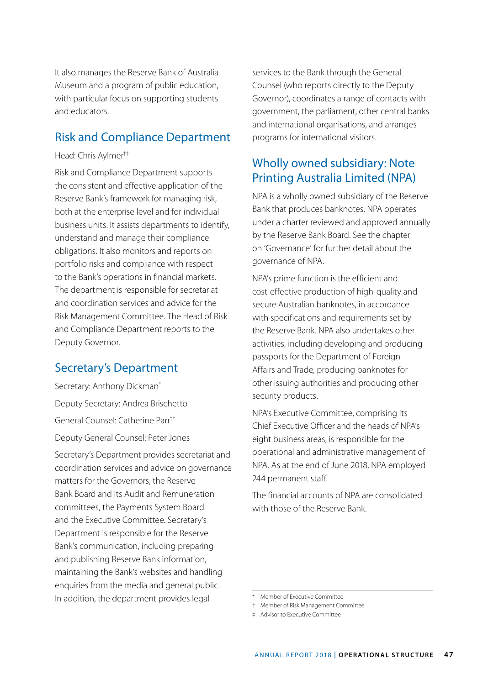It also manages the Reserve Bank of Australia Museum and a program of public education, with particular focus on supporting students and educators.

# Risk and Compliance Department

### Head: Chris Aylmer†‡

Risk and Compliance Department supports the consistent and effective application of the Reserve Bank's framework for managing risk, both at the enterprise level and for individual business units. It assists departments to identify, understand and manage their compliance obligations. It also monitors and reports on portfolio risks and compliance with respect to the Bank's operations in financial markets. The department is responsible for secretariat and coordination services and advice for the Risk Management Committee. The Head of Risk and Compliance Department reports to the Deputy Governor.

## Secretary's Department

Secretary: Anthony Dickman\* Deputy Secretary: Andrea Brischetto General Counsel: Catherine Parr†‡ Deputy General Counsel: Peter Jones

Secretary's Department provides secretariat and coordination services and advice on governance matters for the Governors, the Reserve Bank Board and its Audit and Remuneration committees, the Payments System Board and the Executive Committee. Secretary's Department is responsible for the Reserve Bank's communication, including preparing and publishing Reserve Bank information, maintaining the Bank's websites and handling enquiries from the media and general public. In addition, the department provides legal

services to the Bank through the General Counsel (who reports directly to the Deputy Governor), coordinates a range of contacts with government, the parliament, other central banks and international organisations, and arranges programs for international visitors.

# Wholly owned subsidiary: Note Printing Australia Limited (NPA)

NPA is a wholly owned subsidiary of the Reserve Bank that produces banknotes. NPA operates under a charter reviewed and approved annually by the Reserve Bank Board. See the chapter on 'Governance' for further detail about the governance of NPA.

NPA's prime function is the efficient and cost-effective production of high-quality and secure Australian banknotes, in accordance with specifications and requirements set by the Reserve Bank. NPA also undertakes other activities, including developing and producing passports for the Department of Foreign Affairs and Trade, producing banknotes for other issuing authorities and producing other security products.

NPA's Executive Committee, comprising its Chief Executive Officer and the heads of NPA's eight business areas, is responsible for the operational and administrative management of NPA. As at the end of June 2018, NPA employed 244 permanent staff.

The financial accounts of NPA are consolidated with those of the Reserve Bank

<sup>\*</sup> Member of Executive Committee

<sup>†</sup> Member of Risk Management Committee

<sup>‡</sup> Advisor to Executive Committee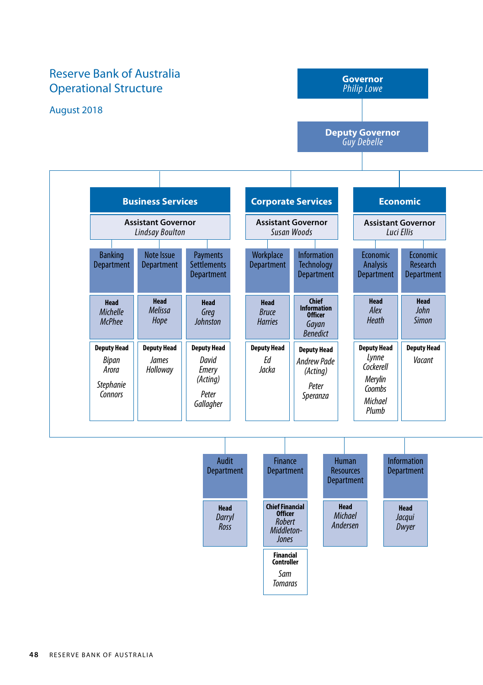